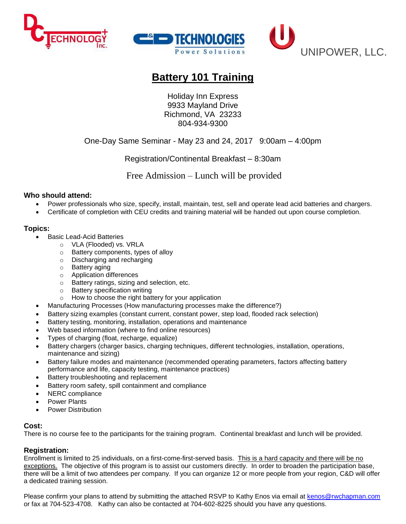



# **Battery 101 Training**

Holiday Inn Express 9933 Mayland Drive Richmond, VA 23233 804-934-9300

### One-Day Same Seminar - May 23 and 24, 2017 9:00am – 4:00pm

Registration/Continental Breakfast – 8:30am

Free Admission – Lunch will be provided

#### **Who should attend:**

- Power professionals who size, specify, install, maintain, test, sell and operate lead acid batteries and chargers.
- Certificate of completion with CEU credits and training material will be handed out upon course completion.

#### **Topics:**

- Basic Lead-Acid Batteries
	- o VLA (Flooded) vs. VRLA
	- o Battery components, types of alloy
	- o Discharging and recharging
	- o Battery aging
	- o Application differences
	- o Battery ratings, sizing and selection, etc.
	- o Battery specification writing
	- o How to choose the right battery for your application
- Manufacturing Processes (How manufacturing processes make the difference?)
- Battery sizing examples (constant current, constant power, step load, flooded rack selection)
- Battery testing, monitoring, installation, operations and maintenance
- Web based information (where to find online resources)
- Types of charging (float, recharge, equalize)
- Battery chargers (charger basics, charging techniques, different technologies, installation, operations, maintenance and sizing)
- Battery failure modes and maintenance (recommended operating parameters, factors affecting battery performance and life, capacity testing, maintenance practices)
- Battery troubleshooting and replacement
- Battery room safety, spill containment and compliance
- NERC compliance
- Power Plants
- Power Distribution

#### **Cost:**

There is no course fee to the participants for the training program. Continental breakfast and lunch will be provided.

#### **Registration:**

Enrollment is limited to 25 individuals, on a first-come-first-served basis. This is a hard capacity and there will be no exceptions. The objective of this program is to assist our customers directly. In order to broaden the participation base, there will be a limit of two attendees per company. If you can organize 12 or more people from your region, C&D will offer a dedicated training session.

Please confirm your plans to attend by submitting the attached RSVP to Kathy Enos via email at [kenos@rwchapman.com](mailto:kenos@rwchapman.com) or fax at 704-523-4708. Kathy can also be contacted at 704-602-8225 should you have any questions.